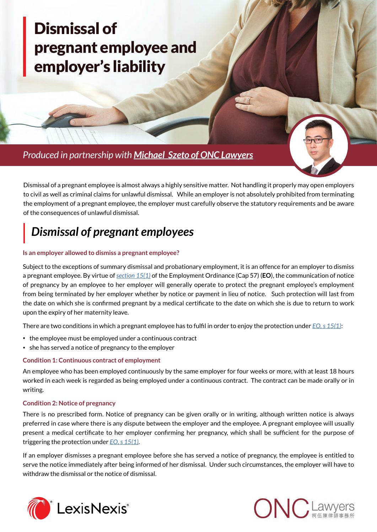# [Dismissal of](https://advance.lexis.com/api/document?collection=analytical-materials-hk&id=urn:contentItem:5X8X-0621-JFSV-G22D-00000-00&context=)  [pregnant employee and](https://advance.lexis.com/api/document?collection=analytical-materials-hk&id=urn:contentItem:5X8X-0621-JFSV-G22D-00000-00&context=)  [employer's liability](https://advance.lexis.com/api/document?collection=analytical-materials-hk&id=urn:contentItem:5X8X-0621-JFSV-G22D-00000-00&context=)

 *Produced in partnership with [Michael Szeto of ONC Lawyers](http://lexisnexis.com/ap/pgauthors/?pa=employment)*

Dismissal of a pregnant employee is almost always a highly sensitive matter. Not handling it properly may open employers to civil as well as criminal claims for unlawful dismissal. While an employer is not absolutely prohibited from terminating the employment of a pregnant employee, the employer must carefully observe the statutory requirements and be aware of the consequences of unlawful dismissal.

## *Dismissal of pregnant employees*

#### **Is an employer allowed to dismiss a pregnant employee?**

Subject to the exceptions of summary dismissal and probationary employment, it is an offence for an employer to dismiss a pregnant employee. By virtue of *[section 15\(1\)](https://advance.lexis.com/api/document?collection=legislation-hk&id=urn:contentItem:5PJX-XYK1-F4NT-X525-00000-00&context=)* of the Employment Ordinance (Cap 57) (**EO**), the communication of notice of pregnancy by an employee to her employer will generally operate to protect the pregnant employee's employment from being terminated by her employer whether by notice or payment in lieu of notice. Such protection will last from the date on which she is confirmed pregnant by a medical certificate to the date on which she is due to return to work upon the expiry of her maternity leave.

There are two conditions in which a pregnant employee has to fulfil in order to enjoy the protection under *[EO, s 15\(1\)](https://advance.lexis.com/api/document?collection=legislation-hk&id=urn:contentItem:5PJX-XYK1-F4NT-X525-00000-00&context=)*:

- the employee must be employed under a continuous contract
- she has served a notice of pregnancy to the employer

#### **Condition 1: Continuous contract of employment**

An employee who has been employed continuously by the same employer for four weeks or more, with at least 18 hours worked in each week is regarded as being employed under a continuous contract. The contract can be made orally or in writing.

#### **Condition 2: Notice of pregnancy**

There is no prescribed form. Notice of pregnancy can be given orally or in writing, although written notice is always preferred in case where there is any dispute between the employer and the employee. A pregnant employee will usually present a medical certificate to her employer confirming her pregnancy, which shall be sufficient for the purpose of triggering the protection under *[EO, s 15\(1\)](https://advance.lexis.com/api/document?collection=legislation-hk&id=urn:contentItem:5PJX-XYK1-F4NT-X525-00000-00&context=)*.

If an employer dismisses a pregnant employee before she has served a notice of pregnancy, the employee is entitled to serve the notice immediately after being informed of her dismissal. Under such circumstances, the employer will have to withdraw the dismissal or the notice of dismissal.



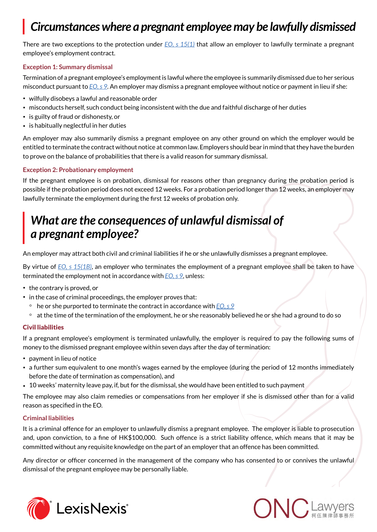## *Circumstances where a pregnant employee may be lawfully dismissed*

There are two exceptions to the protection under *[EO, s 15\(1\)](https://advance.lexis.com/api/document?collection=legislation-hk&id=urn:contentItem:5PJX-XYK1-F4NT-X525-00000-00&context=)* that allow an employer to lawfully terminate a pregnant employee's employment contract.

#### **Exception 1: Summary dismissal**

Termination of a pregnant employee's employment is lawful where the employee is summarily dismissed due to her serious misconduct pursuant to *[EO, s 9](https://advance.lexis.com/api/document?collection=legislation-hk&id=urn:contentItem:5PJX-XYK1-F4NT-X52S-00000-00&context=)*. An employer may dismiss a pregnant employee without notice or payment in lieu if she:

- wilfully disobeys a lawful and reasonable order
- misconducts herself, such conduct being inconsistent with the due and faithful discharge of her duties
- is guilty of fraud or dishonesty, or
- is habitually neglectful in her duties

An employer may also summarily dismiss a pregnant employee on any other ground on which the employer would be entitled to terminate the contract without notice at common law. Employers should bear in mind that they have the burden to prove on the balance of probabilities that there is a valid reason for summary dismissal.

#### **Exception 2: Probationary employment**

If the pregnant employee is on probation, dismissal for reasons other than pregnancy during the probation period is possible if the probation period does not exceed 12 weeks. For a probation period longer than 12 weeks, an employer may lawfully terminate the employment during the first 12 weeks of probation only.

### *What are the consequences of unlawful dismissal of a pregnant employee?*

An employer may attract both civil and criminal liabilities if he or she unlawfully dismisses a pregnant employee.

By virtue of *[EO, s 15\(1B\)](https://advance.lexis.com/api/document?collection=legislation-hk&id=urn:contentItem:5PJX-XYK1-F4NT-X525-00000-00&context=)*, an employer who terminates the employment of a pregnant employee shall be taken to have terminated the employment not in accordance with *[EO, s 9](https://advance.lexis.com/api/document?collection=legislation-hk&id=urn:contentItem:5PJX-XYK1-F4NT-X52S-00000-00&context=)*, unless:

- the contrary is proved, or
- in the case of criminal proceedings, the employer proves that:
- he or she purported to terminate the contract in accordance with *[EO, s 9](https://advance.lexis.com/api/document?collection=legislation-hk&id=urn:contentItem:5PJX-XYK1-F4NT-X52S-00000-00&context=)*
- at the time of the termination of the employment, he or she reasonably believed he or she had a ground to do so

#### Civil liabilities

If a pregnant employee's employment is terminated unlawfully, the employer is required to pay the following sums of money to the dismissed pregnant employee within seven days after the day of termination:

- payment in lieu of notice
- a further sum equivalent to one month's wages earned by the employee (during the period of 12 months immediately before the date of termination as compensation), and
- 10 weeks' maternity leave pay, if, but for the dismissal, she would have been entitled to such payment

The employee may also claim remedies or compensations from her employer if she is dismissed other than for a valid reason as specified in the EO.

#### **Criminal liabilities**

It is a criminal offence for an employer to unlawfully dismiss a pregnant employee. The employer is liable to prosecution and, upon conviction, to a fine of HK\$100,000. Such offence is a strict liability offence, which means that it may be committed without any requisite knowledge on the part of an employer that an offence has been committed.

Any director or officer concerned in the management of the company who has consented to or connives the unlawful dismissal of the pregnant employee may be personally liable.